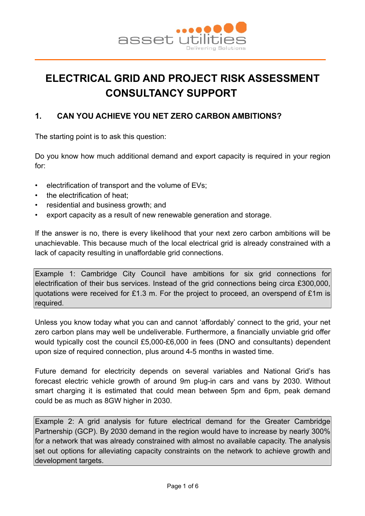

# **ELECTRICAL GRID AND PROJECT RISK ASSESSMENT CONSULTANCY SUPPORT**

# **1. CAN YOU ACHIEVE YOU NET ZERO CARBON AMBITIONS?**

The starting point is to ask this question:

Do you know how much additional demand and export capacity is required in your region for:

- electrification of transport and the volume of EVs;
- the electrification of heat:
- residential and business growth; and
- export capacity as a result of new renewable generation and storage.

If the answer is no, there is every likelihood that your next zero carbon ambitions will be unachievable. This because much of the local electrical grid is already constrained with a lack of capacity resulting in unaffordable grid connections.

Example 1: Cambridge City Council have ambitions for six grid connections for electrification of their bus services. Instead of the grid connections being circa £300,000, quotations were received for £1.3 m. For the project to proceed, an overspend of £1m is required.

Unless you know today what you can and cannot 'affordably' connect to the grid, your net zero carbon plans may well be undeliverable. Furthermore, a financially unviable grid offer would typically cost the council £5,000-£6,000 in fees (DNO and consultants) dependent upon size of required connection, plus around 4-5 months in wasted time.

Future demand for electricity depends on several variables and National Grid's has forecast electric vehicle growth of around 9m plug-in cars and vans by 2030. Without smart charging it is estimated that could mean between 5pm and 6pm, peak demand could be as much as 8GW higher in 2030.

Example 2: A grid analysis for future electrical demand for the Greater Cambridge Partnership (GCP). By 2030 demand in the region would have to increase by nearly 300% for a network that was already constrained with almost no available capacity. The analysis set out options for alleviating capacity constraints on the network to achieve growth and development targets.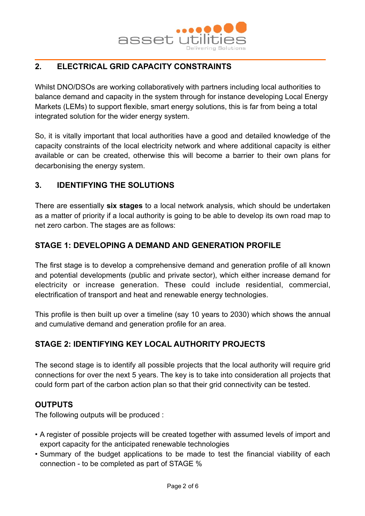

# **2. ELECTRICAL GRID CAPACITY CONSTRAINTS**

Whilst DNO/DSOs are working collaboratively with partners including local authorities to balance demand and capacity in the system through for instance developing Local Energy Markets (LEMs) to support flexible, smart energy solutions, this is far from being a total integrated solution for the wider energy system.

So, it is vitally important that local authorities have a good and detailed knowledge of the capacity constraints of the local electricity network and where additional capacity is either available or can be created, otherwise this will become a barrier to their own plans for decarbonising the energy system.

## **3. IDENTIFYING THE SOLUTIONS**

There are essentially **six stages** to a local network analysis, which should be undertaken as a matter of priority if a local authority is going to be able to develop its own road map to net zero carbon. The stages are as follows:

## **STAGE 1: DEVELOPING A DEMAND AND GENERATION PROFILE**

The first stage is to develop a comprehensive demand and generation profile of all known and potential developments (public and private sector), which either increase demand for electricity or increase generation. These could include residential, commercial, electrification of transport and heat and renewable energy technologies.

This profile is then built up over a timeline (say 10 years to 2030) which shows the annual and cumulative demand and generation profile for an area.

# **STAGE 2: IDENTIFYING KEY LOCAL AUTHORITY PROJECTS**

The second stage is to identify all possible projects that the local authority will require grid connections for over the next 5 years. The key is to take into consideration all projects that could form part of the carbon action plan so that their grid connectivity can be tested.

## **OUTPUTS**

The following outputs will be produced :

- A register of possible projects will be created together with assumed levels of import and export capacity for the anticipated renewable technologies
- Summary of the budget applications to be made to test the financial viability of each connection - to be completed as part of STAGE %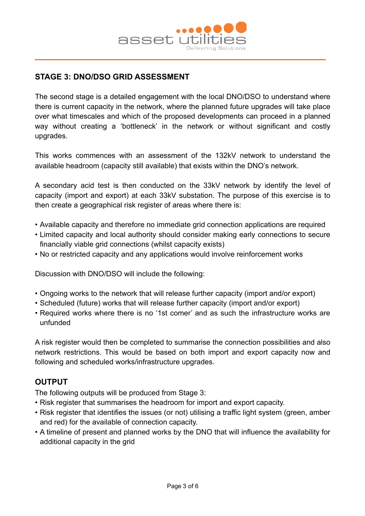

# **STAGE 3: DNO/DSO GRID ASSESSMENT**

The second stage is a detailed engagement with the local DNO/DSO to understand where there is current capacity in the network, where the planned future upgrades will take place over what timescales and which of the proposed developments can proceed in a planned way without creating a 'bottleneck' in the network or without significant and costly upgrades.

This works commences with an assessment of the 132kV network to understand the available headroom (capacity still available) that exists within the DNO's network.

A secondary acid test is then conducted on the 33kV network by identify the level of capacity (import and export) at each 33kV substation. The purpose of this exercise is to then create a geographical risk register of areas where there is:

- Available capacity and therefore no immediate grid connection applications are required
- Limited capacity and local authority should consider making early connections to secure financially viable grid connections (whilst capacity exists)
- No or restricted capacity and any applications would involve reinforcement works

Discussion with DNO/DSO will include the following:

- Ongoing works to the network that will release further capacity (import and/or export)
- Scheduled (future) works that will release further capacity (import and/or export)
- Required works where there is no '1st comer' and as such the infrastructure works are unfunded

A risk register would then be completed to summarise the connection possibilities and also network restrictions. This would be based on both import and export capacity now and following and scheduled works/infrastructure upgrades.

#### **OUTPUT**

The following outputs will be produced from Stage 3:

- Risk register that summarises the headroom for import and export capacity.
- Risk register that identifies the issues (or not) utilising a traffic light system (green, amber and red) for the available of connection capacity.
- A timeline of present and planned works by the DNO that will influence the availability for additional capacity in the grid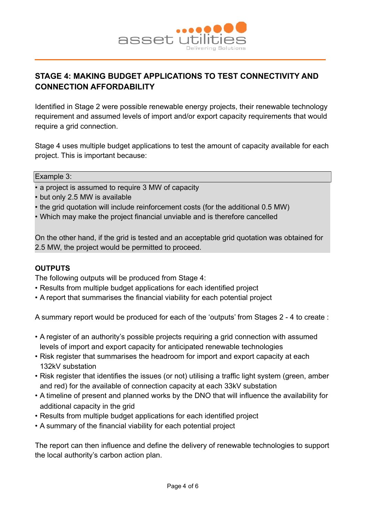

# **STAGE 4: MAKING BUDGET APPLICATIONS TO TEST CONNECTIVITY AND CONNECTION AFFORDABILITY**

Identified in Stage 2 were possible renewable energy projects, their renewable technology requirement and assumed levels of import and/or export capacity requirements that would require a grid connection.

Stage 4 uses multiple budget applications to test the amount of capacity available for each project. This is important because:

#### Example 3:

- a project is assumed to require 3 MW of capacity
- but only 2.5 MW is available
- the grid quotation will include reinforcement costs (for the additional 0.5 MW)
- Which may make the project financial unviable and is therefore cancelled

On the other hand, if the grid is tested and an acceptable grid quotation was obtained for 2.5 MW, the project would be permitted to proceed.

#### **OUTPUTS**

The following outputs will be produced from Stage 4:

- Results from multiple budget applications for each identified project
- A report that summarises the financial viability for each potential project

A summary report would be produced for each of the 'outputs' from Stages 2 - 4 to create :

- A register of an authority's possible projects requiring a grid connection with assumed levels of import and export capacity for anticipated renewable technologies
- Risk register that summarises the headroom for import and export capacity at each 132kV substation
- Risk register that identifies the issues (or not) utilising a traffic light system (green, amber and red) for the available of connection capacity at each 33kV substation
- A timeline of present and planned works by the DNO that will influence the availability for additional capacity in the grid
- Results from multiple budget applications for each identified project
- A summary of the financial viability for each potential project

The report can then influence and define the delivery of renewable technologies to support the local authority's carbon action plan.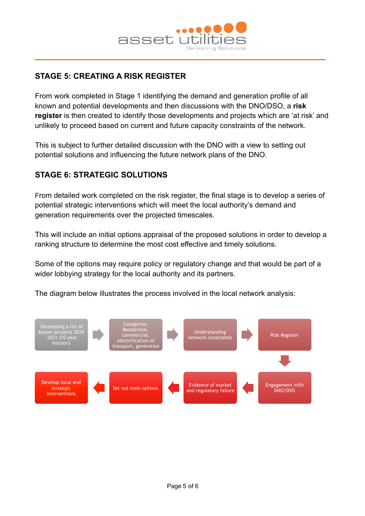

# **STAGE 5: CREATING A RISK REGISTER**

From work completed in Stage 1 identifying the demand and generation profile of all known and potential developments and then discussions with the DNO/DSO, a **risk register** is then created to identify those developments and projects which are 'at risk' and unlikely to proceed based on current and future capacity constraints of the network.

This is subject to further detailed discussion with the DNO with a view to setting out potential solutions and influencing the future network plans of the DNO.

# **STAGE 6: STRATEGIC SOLUTIONS**

From detailed work completed on the risk register, the final stage is to develop a series of potential strategic interventions which will meet the local authority's demand and generation requirements over the projected timescales.

This will include an initial options appraisal of the proposed solutions in order to develop a ranking structure to determine the most cost effective and timely solutions.

Some of the options may require policy or regulatory change and that would be part of a wider lobbying strategy for the local authority and its partners.

The diagram below illustrates the process involved in the local network analysis: